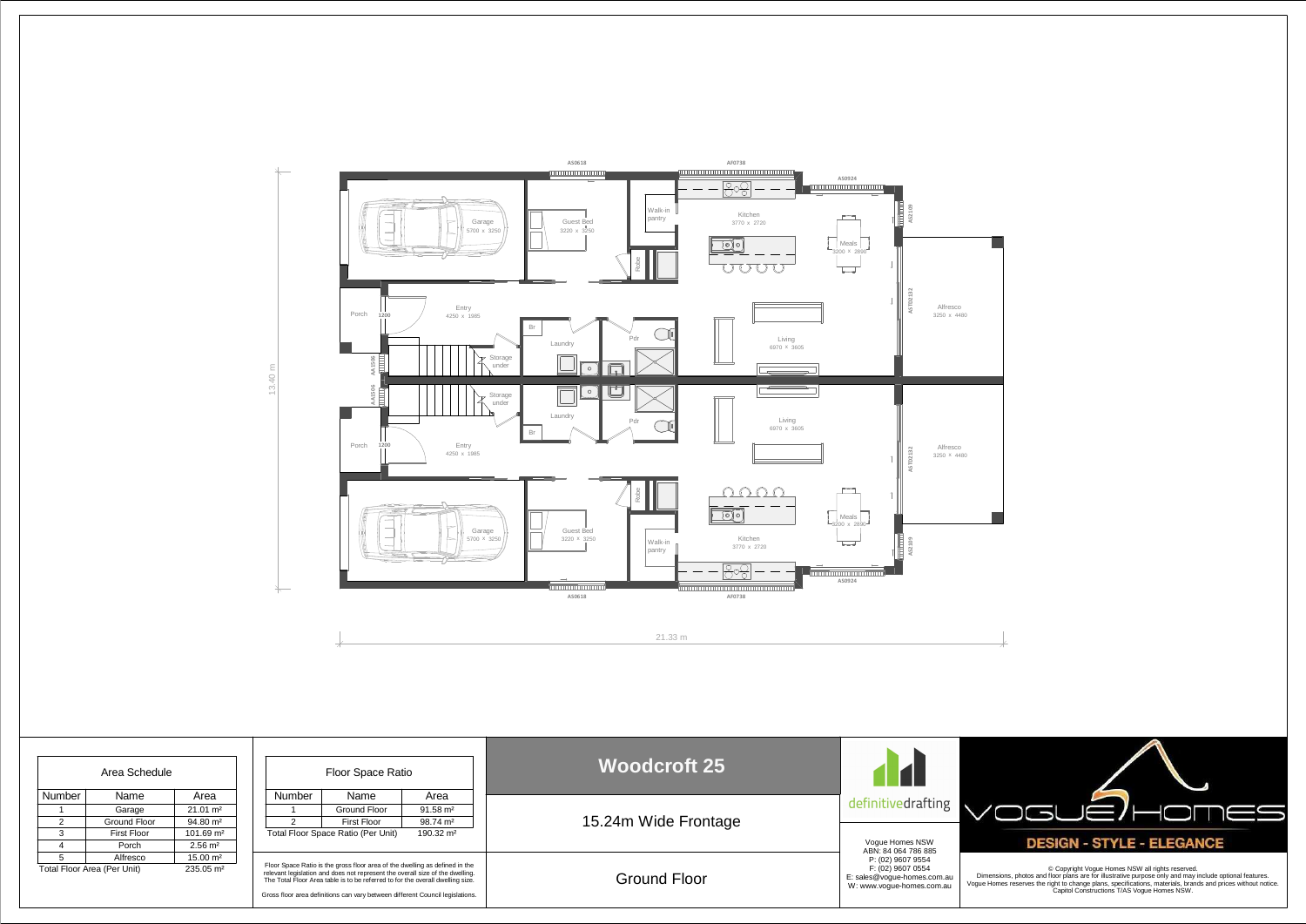

| Area Schedule                                       |              |                       | Floor Space Ratio                                                                                                                                                                                                                                                                                                               |                    |                      | <b>Woodcroft 25</b>  |                                                                               |
|-----------------------------------------------------|--------------|-----------------------|---------------------------------------------------------------------------------------------------------------------------------------------------------------------------------------------------------------------------------------------------------------------------------------------------------------------------------|--------------------|----------------------|----------------------|-------------------------------------------------------------------------------|
| Number                                              | Name         | Area                  | Number                                                                                                                                                                                                                                                                                                                          | Name               | Area                 |                      | definitivedrafting                                                            |
|                                                     | Garage       | $21.01 \text{ m}^2$   |                                                                                                                                                                                                                                                                                                                                 | Ground Floor       | $91.58 \text{ m}^2$  |                      |                                                                               |
| 2                                                   | Ground Floor | $94.80 \text{ m}^2$   |                                                                                                                                                                                                                                                                                                                                 | <b>First Floor</b> | 98.74 m <sup>2</sup> | 15.24m Wide Frontage |                                                                               |
| 3                                                   | First Floor  | 101.69 m <sup>2</sup> | Total Floor Space Ratio (Per Unit)<br>$190.32 \text{ m}^2$                                                                                                                                                                                                                                                                      |                    |                      |                      | Vogue Homes NSW<br>ABN: 84 064 786 885<br>P: (02) 9607 9554                   |
|                                                     | Porch        | $2.56 \text{ m}^2$    |                                                                                                                                                                                                                                                                                                                                 |                    |                      |                      |                                                                               |
| $5^{\circ}$                                         | Alfresco     | $15.00 \text{ m}^2$   |                                                                                                                                                                                                                                                                                                                                 |                    |                      |                      |                                                                               |
| Total Floor Area (Per Unit)<br>$235.05 \text{ m}^2$ |              |                       | Floor Space Ratio is the gross floor area of the dwelling as defined in the<br>relevant legislation and does not represent the overall size of the dwelling.<br>The Total Floor Area table is to be referred to for the overall dwelling size.<br>Gross floor area definitions can vary between different Council legislations. |                    |                      | <b>Ground Floor</b>  | F: (02) 9607 0554<br>E: sales@voque-homes.com.au<br>W: www.voque-homes.com.au |



© Copyright Vogue Homes NSW all rights reserved.<br>Dimensions, photos and floor plans are for illustrative purpose only and may include optional features.<br>Vogue Homes reserves the right to change plans, specifications, mater